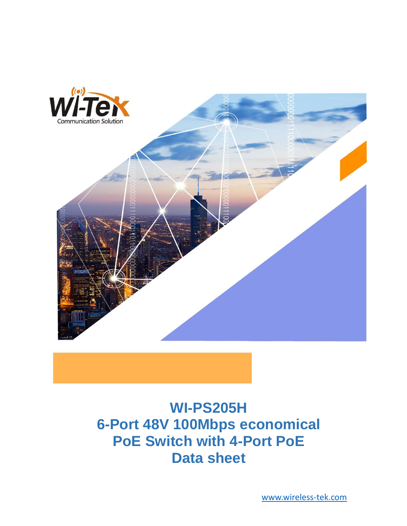

# **WI-PS205H 6-Port 48V 100Mbps economical PoE Switch with 4-Port PoE Data sheet**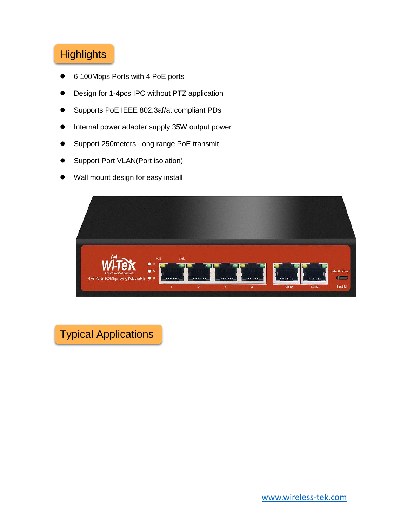## **Highlights**

- 6 100Mbps Ports with 4 PoE ports
- ⚫ Design for 1-4pcs IPC without PTZ application
- ⚫ Supports PoE IEEE 802.3af/at compliant PDs
- Internal power adapter supply 35W output power
- ⚫ Support 250meters Long range PoE transmit
- ⚫ Support Port VLAN(Port isolation)
- Wall mount design for easy install



Typical Applications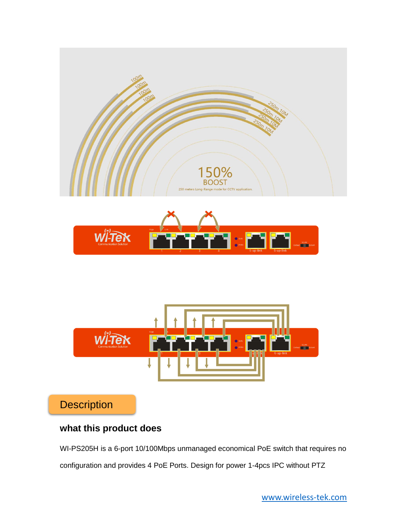

**Description** 

## **what this product does**

WI-PS205H is a 6-port 10/100Mbps unmanaged economical PoE switch that requires no configuration and provides 4 PoE Ports. Design for power 1-4pcs IPC without PTZ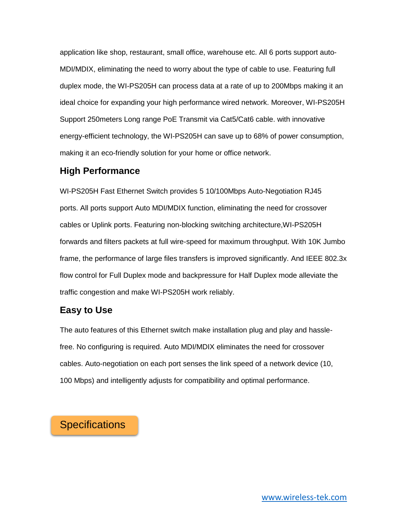application like shop, restaurant, small office, warehouse etc. All 6 ports support auto-MDI/MDIX, eliminating the need to worry about the type of cable to use. Featuring full duplex mode, the WI-PS205H can process data at a rate of up to 200Mbps making it an ideal choice for expanding your high performance wired network. Moreover, WI-PS205H Support 250meters Long range PoE Transmit via Cat5/Cat6 cable. with innovative energy-efficient technology, the WI-PS205H can save up to 68% of power consumption, making it an eco-friendly solution for your home or office network.

#### **High Performance**

WI-PS205H Fast Ethernet Switch provides 5 10/100Mbps Auto-Negotiation RJ45 ports. All ports support Auto MDI/MDIX function, eliminating the need for crossover cables or Uplink ports. Featuring non-blocking switching architecture,WI-PS205H forwards and filters packets at full wire-speed for maximum throughput. With 10K Jumbo frame, the performance of large files transfers is improved significantly. And IEEE 802.3x flow control for Full Duplex mode and backpressure for Half Duplex mode alleviate the traffic congestion and make WI-PS205H work reliably.

#### **Easy to Use**

The auto features of this Ethernet switch make installation plug and play and hasslefree. No configuring is required. Auto MDI/MDIX eliminates the need for crossover cables. Auto-negotiation on each port senses the link speed of a network device (10, 100 Mbps) and intelligently adjusts for compatibility and optimal performance.

## **Specifications**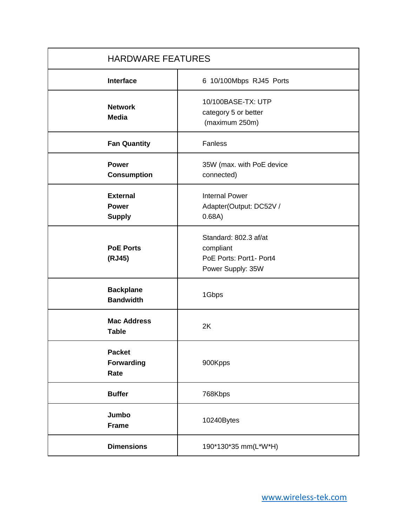| <b>HARDWARE FEATURES</b>                         |                                                                                    |
|--------------------------------------------------|------------------------------------------------------------------------------------|
| <b>Interface</b>                                 | 6 10/100Mbps RJ45 Ports                                                            |
| <b>Network</b><br><b>Media</b>                   | 10/100BASE-TX: UTP<br>category 5 or better<br>(maximum 250m)                       |
| <b>Fan Quantity</b>                              | Fanless                                                                            |
| <b>Power</b><br><b>Consumption</b>               | 35W (max. with PoE device<br>connected)                                            |
| <b>External</b><br><b>Power</b><br><b>Supply</b> | <b>Internal Power</b><br>Adapter(Output: DC52V /<br>0.68A)                         |
| <b>PoE Ports</b><br>(RJ45)                       | Standard: 802.3 af/at<br>compliant<br>PoE Ports: Port1- Port4<br>Power Supply: 35W |
| <b>Backplane</b><br><b>Bandwidth</b>             | 1Gbps                                                                              |
| <b>Mac Address</b><br><b>Table</b>               | 2K                                                                                 |
| <b>Packet</b><br>Forwarding<br>Rate              | 900Kpps                                                                            |
| <b>Buffer</b>                                    | 768Kbps                                                                            |
| Jumbo<br><b>Frame</b>                            | 10240Bytes                                                                         |
| <b>Dimensions</b>                                | 190*130*35 mm(L*W*H)                                                               |